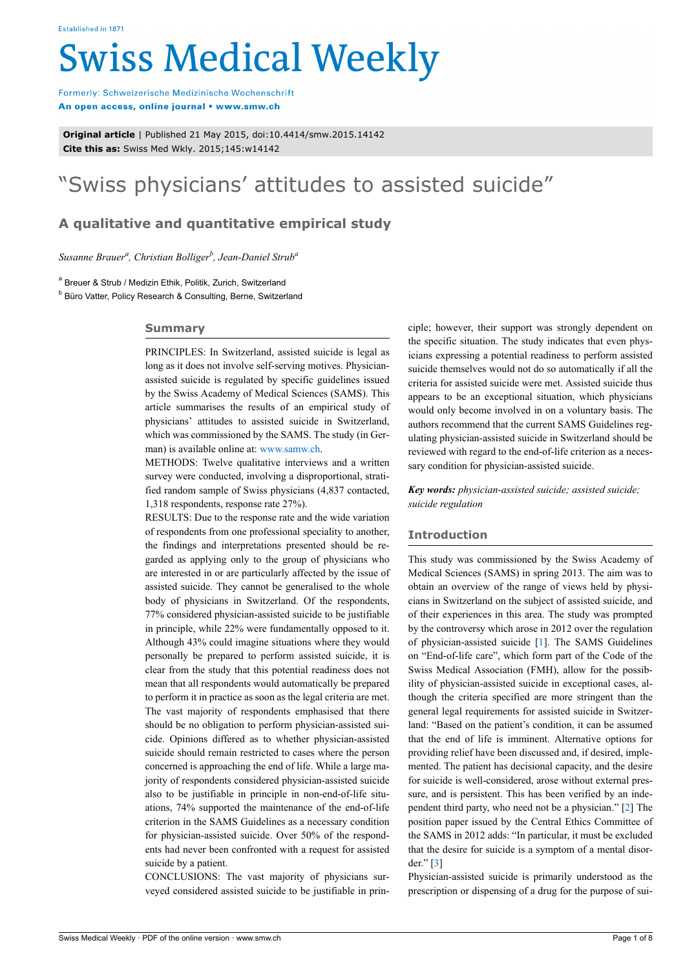# **Swiss Medical Weekly**

Formerly: Schweizerische Medizinische Wochenschrift An open access, online journal • www.smw.ch

**Original article** | Published 21 May 2015, doi:10.4414/smw.2015.14142 **Cite this as:** Swiss Med Wkly. 2015;145:w14142

# "Swiss physicians' attitudes to assisted suicide"

# **A qualitative and quantitative empirical study**

*Susanne Brauer<sup>a</sup> , Christian Bolliger<sup>b</sup> , Jean-Daniel Strub<sup>a</sup>*

<sup>a</sup> Breuer & Strub / Medizin Ethik, Politik, Zurich, Switzerland

<sup>b</sup> Büro Vatter, Policy Research & Consulting, Berne, Switzerland

### **Summary**

PRINCIPLES: In Switzerland, assisted suicide is legal as long as it does not involve self-serving motives. Physicianassisted suicide is regulated by specific guidelines issued by the Swiss Academy of Medical Sciences (SAMS). This article summarises the results of an empirical study of physicians' attitudes to assisted suicide in Switzerland, which was commissioned by the SAMS. The study (in German) is available online at: [www.samw.ch](http://www.samw.ch).

METHODS: Twelve qualitative interviews and a written survey were conducted, involving a disproportional, stratified random sample of Swiss physicians (4,837 contacted, 1,318 respondents, response rate 27%).

RESULTS: Due to the response rate and the wide variation of respondents from one professional speciality to another, the findings and interpretations presented should be regarded as applying only to the group of physicians who are interested in or are particularly affected by the issue of assisted suicide. They cannot be generalised to the whole body of physicians in Switzerland. Of the respondents, 77% considered physician-assisted suicide to be justifiable in principle, while 22% were fundamentally opposed to it. Although 43% could imagine situations where they would personally be prepared to perform assisted suicide, it is clear from the study that this potential readiness does not mean that all respondents would automatically be prepared to perform it in practice as soon as the legal criteria are met. The vast majority of respondents emphasised that there should be no obligation to perform physician-assisted suicide. Opinions differed as to whether physician-assisted suicide should remain restricted to cases where the person concerned is approaching the end of life. While a large majority of respondents considered physician-assisted suicide also to be justifiable in principle in non-end-of-life situations, 74% supported the maintenance of the end-of-life criterion in the SAMS Guidelines as a necessary condition for physician-assisted suicide. Over 50% of the respondents had never been confronted with a request for assisted suicide by a patient.

CONCLUSIONS: The vast majority of physicians surveyed considered assisted suicide to be justifiable in principle; however, their support was strongly dependent on the specific situation. The study indicates that even physicians expressing a potential readiness to perform assisted suicide themselves would not do so automatically if all the criteria for assisted suicide were met. Assisted suicide thus appears to be an exceptional situation, which physicians would only become involved in on a voluntary basis. The authors recommend that the current SAMS Guidelines regulating physician-assisted suicide in Switzerland should be reviewed with regard to the end-of-life criterion as a necessary condition for physician-assisted suicide.

*Key words: physician-assisted suicide; assisted suicide; suicide regulation*

# **Introduction**

This study was commissioned by the Swiss Academy of Medical Sciences (SAMS) in spring 2013. The aim was to obtain an overview of the range of views held by physicians in Switzerland on the subject of assisted suicide, and of their experiences in this area. The study was prompted by the controversy which arose in 2012 over the regulation of physician-assisted suicide [[1](#page-5-0)]. The SAMS Guidelines on "End-of-life care", which form part of the Code of the Swiss Medical Association (FMH), allow for the possibility of physician-assisted suicide in exceptional cases, although the criteria specified are more stringent than the general legal requirements for assisted suicide in Switzerland: "Based on the patient's condition, it can be assumed that the end of life is imminent. Alternative options for providing relief have been discussed and, if desired, implemented. The patient has decisional capacity, and the desire for suicide is well-considered, arose without external pressure, and is persistent. This has been verified by an independent third party, who need not be a physician." [[2](#page-5-1)] The position paper issued by the Central Ethics Committee of the SAMS in 2012 adds: "In particular, it must be excluded that the desire for suicide is a symptom of a mental disorder." [\[3\]](#page-5-2)

Physician-assisted suicide is primarily understood as the prescription or dispensing of a drug for the purpose of sui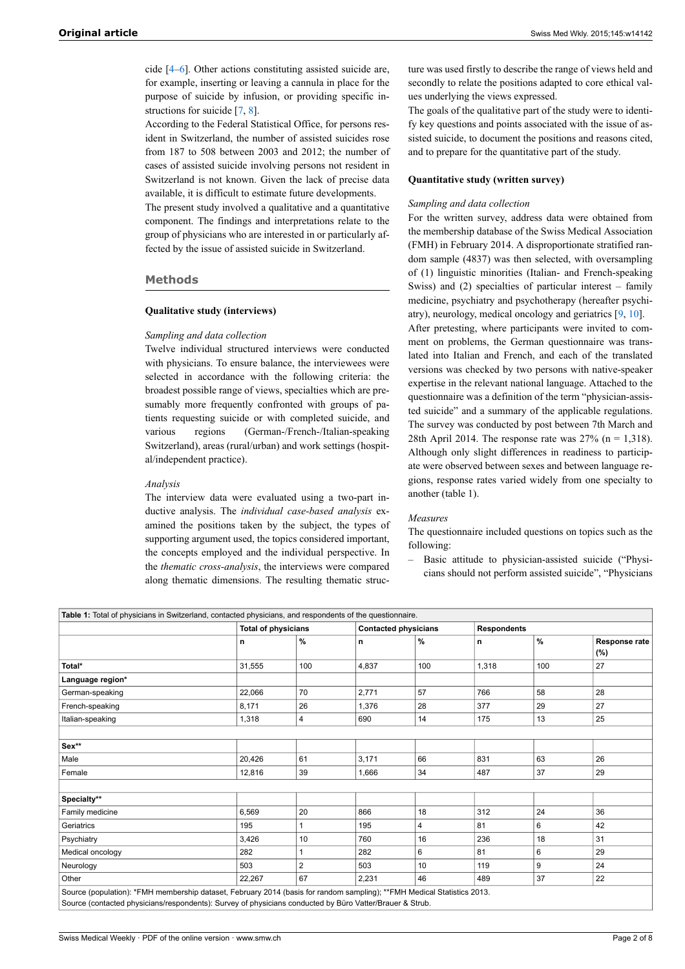cide [[4](#page-5-3)–[6](#page-5-4)]. Other actions constituting assisted suicide are, for example, inserting or leaving a cannula in place for the purpose of suicide by infusion, or providing specific instructions for suicide [[7](#page-5-5), [8](#page-5-6)].

According to the Federal Statistical Office, for persons resident in Switzerland, the number of assisted suicides rose from 187 to 508 between 2003 and 2012; the number of cases of assisted suicide involving persons not resident in Switzerland is not known. Given the lack of precise data available, it is difficult to estimate future developments.

The present study involved a qualitative and a quantitative component. The findings and interpretations relate to the group of physicians who are interested in or particularly affected by the issue of assisted suicide in Switzerland.

#### **Methods**

#### **Qualitative study (interviews)**

#### *Sampling and data collection*

Twelve individual structured interviews were conducted with physicians. To ensure balance, the interviewees were selected in accordance with the following criteria: the broadest possible range of views, specialties which are presumably more frequently confronted with groups of patients requesting suicide or with completed suicide, and various regions (German-/French-/Italian-speaking Switzerland), areas (rural/urban) and work settings (hospital/independent practice).

#### *Analysis*

The interview data were evaluated using a two-part inductive analysis. The *individual case-based analysis* examined the positions taken by the subject, the types of supporting argument used, the topics considered important, the concepts employed and the individual perspective. In the *thematic cross-analysis*, the interviews were compared along thematic dimensions. The resulting thematic struc-

ture was used firstly to describe the range of views held and secondly to relate the positions adapted to core ethical values underlying the views expressed.

The goals of the qualitative part of the study were to identify key questions and points associated with the issue of assisted suicide, to document the positions and reasons cited, and to prepare for the quantitative part of the study.

#### **Quantitative study (written survey)**

#### *Sampling and data collection*

For the written survey, address data were obtained from the membership database of the Swiss Medical Association (FMH) in February 2014. A disproportionate stratified random sample (4837) was then selected, with oversampling of (1) linguistic minorities (Italian- and French-speaking Swiss) and (2) specialties of particular interest – family medicine, psychiatry and psychotherapy (hereafter psychiatry), neurology, medical oncology and geriatrics [[9](#page-6-0), [10\]](#page-6-1).

After pretesting, where participants were invited to comment on problems, the German questionnaire was translated into Italian and French, and each of the translated versions was checked by two persons with native-speaker expertise in the relevant national language. Attached to the questionnaire was a definition of the term "physician-assisted suicide" and a summary of the applicable regulations. The survey was conducted by post between 7th March and 28th April 2014. The response rate was  $27\%$  (n = 1,318). Although only slight differences in readiness to participate were observed between sexes and between language regions, response rates varied widely from one specialty to another (table 1).

#### *Measures*

The questionnaire included questions on topics such as the following:

‒ Basic attitude to physician-assisted suicide ("Physicians should not perform assisted suicide", "Physicians

| Table 1: Total of physicians in Switzerland, contacted physicians, and respondents of the questionnaire.                |        |                            |       |                             |       |                    |               |  |  |
|-------------------------------------------------------------------------------------------------------------------------|--------|----------------------------|-------|-----------------------------|-------|--------------------|---------------|--|--|
|                                                                                                                         |        | <b>Total of physicians</b> |       | <b>Contacted physicians</b> |       | <b>Respondents</b> |               |  |  |
|                                                                                                                         | n      | %                          | n     | %                           | n     | $\%$               | Response rate |  |  |
|                                                                                                                         |        |                            |       |                             |       |                    | (%)           |  |  |
| Total*                                                                                                                  | 31,555 | 100                        | 4,837 | 100                         | 1,318 | 100                | 27            |  |  |
| Language region*                                                                                                        |        |                            |       |                             |       |                    |               |  |  |
| German-speaking                                                                                                         | 22,066 | 70                         | 2,771 | 57                          | 766   | 58                 | 28            |  |  |
| French-speaking                                                                                                         | 8,171  | 26                         | 1,376 | 28                          | 377   | 29                 | 27            |  |  |
| Italian-speaking                                                                                                        | 1,318  | $\overline{\mathbf{4}}$    | 690   | 14                          | 175   | 13                 | 25            |  |  |
|                                                                                                                         |        |                            |       |                             |       |                    |               |  |  |
| Sex**                                                                                                                   |        |                            |       |                             |       |                    |               |  |  |
| Male                                                                                                                    | 20,426 | 61                         | 3,171 | 66                          | 831   | 63                 | 26            |  |  |
| Female                                                                                                                  | 12,816 | 39                         | 1,666 | 34                          | 487   | 37                 | 29            |  |  |
|                                                                                                                         |        |                            |       |                             |       |                    |               |  |  |
| Specialty**                                                                                                             |        |                            |       |                             |       |                    |               |  |  |
| Family medicine                                                                                                         | 6,569  | 20                         | 866   | 18                          | 312   | 24                 | 36            |  |  |
| Geriatrics                                                                                                              | 195    |                            | 195   | 4                           | 81    | 6                  | 42            |  |  |
| Psychiatry                                                                                                              | 3,426  | 10                         | 760   | 16                          | 236   | 18                 | 31            |  |  |
| Medical oncology                                                                                                        | 282    | 1                          | 282   | 6                           | 81    | 6                  | 29            |  |  |
| Neurology                                                                                                               | 503    | $\overline{2}$             | 503   | 10                          | 119   | 9                  | 24            |  |  |
| Other                                                                                                                   | 22,267 | 67                         | 2,231 | 46                          | 489   | 37                 | 22            |  |  |
| Source (population): *FMH membership dataset, February 2014 (basis for random sampling); **FMH Medical Statistics 2013. |        |                            |       |                             |       |                    |               |  |  |
| Source (contacted physicians/respondents): Survey of physicians conducted by Büro Vatter/Brauer & Strub.                |        |                            |       |                             |       |                    |               |  |  |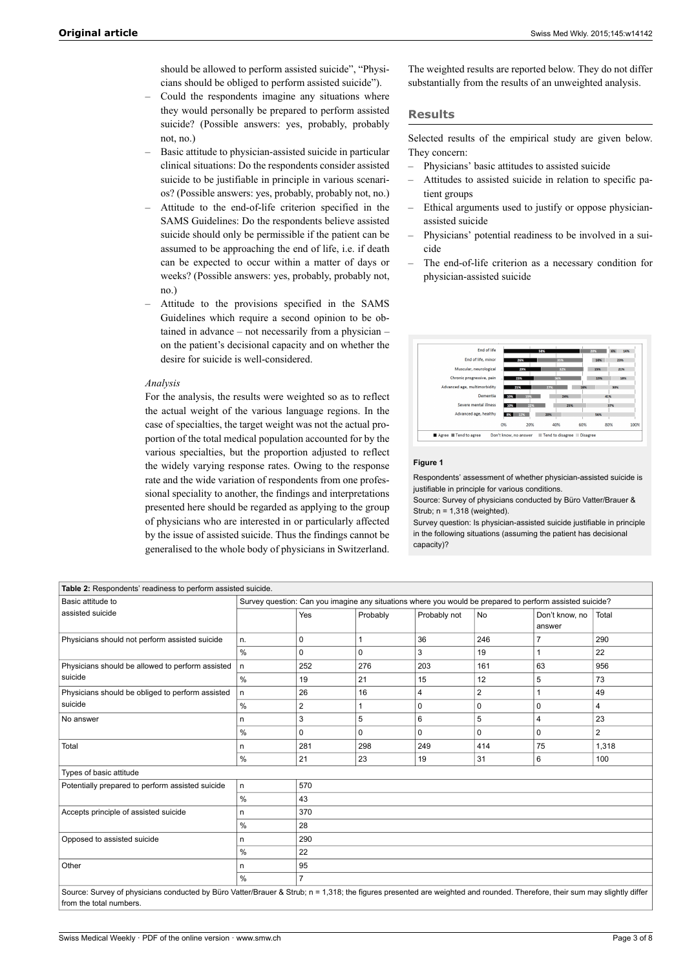should be allowed to perform assisted suicide", "Physicians should be obliged to perform assisted suicide").

- ‒ Could the respondents imagine any situations where they would personally be prepared to perform assisted suicide? (Possible answers: yes, probably, probably not, no.)
- ‒ Basic attitude to physician-assisted suicide in particular clinical situations: Do the respondents consider assisted suicide to be justifiable in principle in various scenarios? (Possible answers: yes, probably, probably not, no.)
- ‒ Attitude to the end-of-life criterion specified in the SAMS Guidelines: Do the respondents believe assisted suicide should only be permissible if the patient can be assumed to be approaching the end of life, i.e. if death can be expected to occur within a matter of days or weeks? (Possible answers: yes, probably, probably not, no.)
- ‒ Attitude to the provisions specified in the SAMS Guidelines which require a second opinion to be obtained in advance – not necessarily from a physician – on the patient's decisional capacity and on whether the desire for suicide is well-considered.

#### *Analysis*

For the analysis, the results were weighted so as to reflect the actual weight of the various language regions. In the case of specialties, the target weight was not the actual proportion of the total medical population accounted for by the various specialties, but the proportion adjusted to reflect the widely varying response rates. Owing to the response rate and the wide variation of respondents from one professional speciality to another, the findings and interpretations presented here should be regarded as applying to the group of physicians who are interested in or particularly affected by the issue of assisted suicide. Thus the findings cannot be generalised to the whole body of physicians in Switzerland.

The weighted results are reported below. They do not differ substantially from the results of an unweighted analysis.

#### **Results**

Selected results of the empirical study are given below. They concern:

- ‒ Physicians' basic attitudes to assisted suicide
- ‒ Attitudes to assisted suicide in relation to specific patient groups
- ‒ Ethical arguments used to justify or oppose physicianassisted suicide
- ‒ Physicians' potential readiness to be involved in a suicide
- ‒ The end-of-life criterion as a necessary condition for physician-assisted suicide

| End of life                  |                       |     | 58%                       |     | 20% | 6%<br>14% |      |
|------------------------------|-----------------------|-----|---------------------------|-----|-----|-----------|------|
| End of life, minor           |                       | 26% | 35%                       |     | 10% | 23%       |      |
| Muscular, neurological       |                       | 29% | 32%                       |     | 15% | 21%       |      |
| Chronic progressive, pain    |                       | 23% | 36%                       |     | 19% | 18%       |      |
| Advanced age, multimorbidity |                       | 21% | 27%                       | 18% |     | 30%       |      |
| <b>Dementia</b>              | 10%                   | 19% | 24%                       |     |     | 41%       |      |
| Severe mental illness        | 10%                   | 22% | 25%                       |     |     | 37%       |      |
| Advanced age, healthy        | $8\%$                 | 12% | 20%                       |     | 56% |           |      |
|                              | 0%                    | 20% | 40%                       | 60% |     | 80%       | 100% |
| Agree <b>Tend</b> to agree   | Don't know, no answer |     | Tend to disagree Disagree |     |     |           |      |

#### **Figure 1**

Respondents' assessment of whether physician-assisted suicide is justifiable in principle for various conditions.

Source: Survey of physicians conducted by Büro Vatter/Brauer & Strub; n = 1,318 (weighted).

Survey question: Is physician-assisted suicide justifiable in principle in the following situations (assuming the patient has decisional capacity)?

| Table 2: Respondents' readiness to perform assisted suicide.                                                                                                              |                                                                                                          |                |          |              |     |                |                |  |  |  |
|---------------------------------------------------------------------------------------------------------------------------------------------------------------------------|----------------------------------------------------------------------------------------------------------|----------------|----------|--------------|-----|----------------|----------------|--|--|--|
| Basic attitude to                                                                                                                                                         | Survey question: Can you imagine any situations where you would be prepared to perform assisted suicide? |                |          |              |     |                |                |  |  |  |
| assisted suicide                                                                                                                                                          |                                                                                                          | Yes            | Probably | Probably not | No  | Don't know, no | Total          |  |  |  |
|                                                                                                                                                                           |                                                                                                          |                |          |              |     | answer         |                |  |  |  |
| Physicians should not perform assisted suicide                                                                                                                            | n.                                                                                                       | 0              | 1        | 36           | 246 | 7              | 290            |  |  |  |
|                                                                                                                                                                           | %                                                                                                        | $\Omega$       | 0        | 3            | 19  | 1              | 22             |  |  |  |
| Physicians should be allowed to perform assisted                                                                                                                          | n.                                                                                                       | 252            | 276      | 203          | 161 | 63             | 956            |  |  |  |
| suicide                                                                                                                                                                   | %                                                                                                        | 19             | 21       | 15           | 12  | 5              | 73             |  |  |  |
| Physicians should be obliged to perform assisted                                                                                                                          | n.                                                                                                       | 26             | 16       | 4            | 2   | 1              | 49             |  |  |  |
| suicide                                                                                                                                                                   | %                                                                                                        | $\overline{2}$ |          | 0            | 0   | 0              | 4              |  |  |  |
| No answer                                                                                                                                                                 | n                                                                                                        | 3              | 5        | 6            | 5   | $\overline{4}$ | 23             |  |  |  |
|                                                                                                                                                                           | %                                                                                                        | 0              | 0        | 0            | 0   | 0              | $\overline{2}$ |  |  |  |
| Total                                                                                                                                                                     | n                                                                                                        | 281            | 298      | 249          | 414 | 75             | 1,318          |  |  |  |
|                                                                                                                                                                           | %                                                                                                        | 21             | 23       | 19           | 31  | 6              | 100            |  |  |  |
| Types of basic attitude                                                                                                                                                   |                                                                                                          |                |          |              |     |                |                |  |  |  |
| Potentially prepared to perform assisted suicide                                                                                                                          | 570<br>n.                                                                                                |                |          |              |     |                |                |  |  |  |
|                                                                                                                                                                           | %<br>43                                                                                                  |                |          |              |     |                |                |  |  |  |
| Accepts principle of assisted suicide                                                                                                                                     | 370<br>n                                                                                                 |                |          |              |     |                |                |  |  |  |
|                                                                                                                                                                           | %<br>28                                                                                                  |                |          |              |     |                |                |  |  |  |
| Opposed to assisted suicide                                                                                                                                               | 290<br>n                                                                                                 |                |          |              |     |                |                |  |  |  |
|                                                                                                                                                                           | $\%$<br>22                                                                                               |                |          |              |     |                |                |  |  |  |
| Other                                                                                                                                                                     | n                                                                                                        | 95             |          |              |     |                |                |  |  |  |
|                                                                                                                                                                           | $\frac{0}{0}$                                                                                            | $\overline{7}$ |          |              |     |                |                |  |  |  |
| Source: Survey of physicians conducted by Büro Vatter/Brauer & Strub; n = 1,318; the figures presented are weighted and rounded. Therefore, their sum may slightly differ |                                                                                                          |                |          |              |     |                |                |  |  |  |
| from the total numbers.                                                                                                                                                   |                                                                                                          |                |          |              |     |                |                |  |  |  |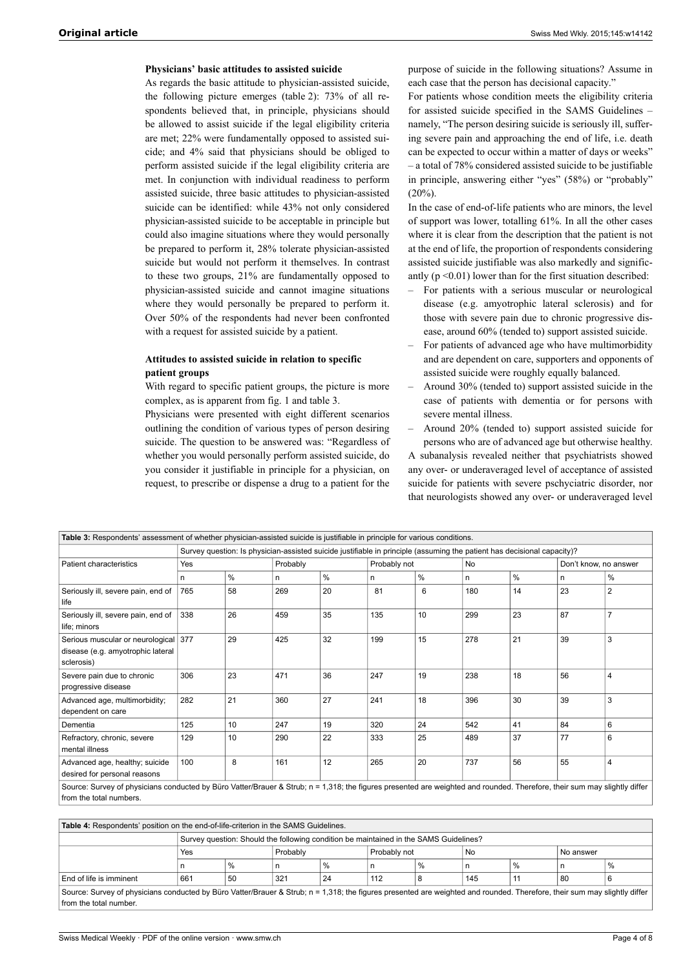#### **Physicians' basic attitudes to assisted suicide**

As regards the basic attitude to physician-assisted suicide, the following picture emerges (table 2): 73% of all respondents believed that, in principle, physicians should be allowed to assist suicide if the legal eligibility criteria are met; 22% were fundamentally opposed to assisted suicide; and 4% said that physicians should be obliged to perform assisted suicide if the legal eligibility criteria are met. In conjunction with individual readiness to perform assisted suicide, three basic attitudes to physician-assisted suicide can be identified: while 43% not only considered physician-assisted suicide to be acceptable in principle but could also imagine situations where they would personally be prepared to perform it, 28% tolerate physician-assisted suicide but would not perform it themselves. In contrast to these two groups, 21% are fundamentally opposed to physician-assisted suicide and cannot imagine situations where they would personally be prepared to perform it. Over 50% of the respondents had never been confronted with a request for assisted suicide by a patient.

#### **Attitudes to assisted suicide in relation to specific patient groups**

With regard to specific patient groups, the picture is more complex, as is apparent from fig. 1 and table 3.

Physicians were presented with eight different scenarios outlining the condition of various types of person desiring suicide. The question to be answered was: "Regardless of whether you would personally perform assisted suicide, do you consider it justifiable in principle for a physician, on request, to prescribe or dispense a drug to a patient for the purpose of suicide in the following situations? Assume in each case that the person has decisional capacity."

For patients whose condition meets the eligibility criteria for assisted suicide specified in the SAMS Guidelines – namely, "The person desiring suicide is seriously ill, suffering severe pain and approaching the end of life, i.e. death can be expected to occur within a matter of days or weeks" – a total of 78% considered assisted suicide to be justifiable in principle, answering either "yes" (58%) or "probably"  $(20\%)$ .

In the case of end-of-life patients who are minors, the level of support was lower, totalling 61%. In all the other cases where it is clear from the description that the patient is not at the end of life, the proportion of respondents considering assisted suicide justifiable was also markedly and significantly  $(p \le 0.01)$  lower than for the first situation described:

- ‒ For patients with a serious muscular or neurological disease (e.g. amyotrophic lateral sclerosis) and for those with severe pain due to chronic progressive disease, around 60% (tended to) support assisted suicide.
- ‒ For patients of advanced age who have multimorbidity and are dependent on care, supporters and opponents of assisted suicide were roughly equally balanced.
- ‒ Around 30% (tended to) support assisted suicide in the case of patients with dementia or for persons with severe mental illness.
- ‒ Around 20% (tended to) support assisted suicide for persons who are of advanced age but otherwise healthy.

A subanalysis revealed neither that psychiatrists showed any over- or underaveraged level of acceptance of assisted suicide for patients with severe pschyciatric disorder, nor that neurologists showed any over- or underaveraged level

| Table 3: Respondents' assessment of whether physician-assisted suicide is justifiable in principle for various conditions.                                                                           |     |      |                                                                                                                         |          |     |              |     |    |    |                       |  |
|------------------------------------------------------------------------------------------------------------------------------------------------------------------------------------------------------|-----|------|-------------------------------------------------------------------------------------------------------------------------|----------|-----|--------------|-----|----|----|-----------------------|--|
|                                                                                                                                                                                                      |     |      | Survey question: Is physician-assisted suicide justifiable in principle (assuming the patient has decisional capacity)? |          |     |              |     |    |    |                       |  |
| Patient characteristics                                                                                                                                                                              | Yes |      |                                                                                                                         | Probably |     | Probably not |     | No |    | Don't know, no answer |  |
|                                                                                                                                                                                                      | n   | $\%$ | n                                                                                                                       | $\%$     | n   | %            | n   | %  | n  | %                     |  |
| Seriously ill, severe pain, end of<br>life                                                                                                                                                           | 765 | 58   | 269                                                                                                                     | 20       | 81  | 6            | 180 | 14 | 23 | $\overline{2}$        |  |
| Seriously ill, severe pain, end of<br>life; minors                                                                                                                                                   | 338 | 26   | 459                                                                                                                     | 35       | 135 | 10           | 299 | 23 | 87 | $\overline{7}$        |  |
| Serious muscular or neurological<br>disease (e.g. amyotrophic lateral<br>sclerosis)                                                                                                                  | 377 | 29   | 425                                                                                                                     | 32       | 199 | 15           | 278 | 21 | 39 | 3                     |  |
| Severe pain due to chronic<br>progressive disease                                                                                                                                                    | 306 | 23   | 471                                                                                                                     | 36       | 247 | 19           | 238 | 18 | 56 | $\overline{4}$        |  |
| Advanced age, multimorbidity;<br>dependent on care                                                                                                                                                   | 282 | 21   | 360                                                                                                                     | 27       | 241 | 18           | 396 | 30 | 39 | 3                     |  |
| Dementia                                                                                                                                                                                             | 125 | 10   | 247                                                                                                                     | 19       | 320 | 24           | 542 | 41 | 84 | 6                     |  |
| Refractory, chronic, severe<br>mental illness                                                                                                                                                        | 129 | 10   | 290                                                                                                                     | 22       | 333 | 25           | 489 | 37 | 77 | 6                     |  |
| Advanced age, healthy; suicide<br>desired for personal reasons                                                                                                                                       | 100 | 8    | 161                                                                                                                     | 12       | 265 | 20           | 737 | 56 | 55 | $\overline{4}$        |  |
| Source: Survey of physicians conducted by Büro Vatter/Brauer & Strub; n = 1,318; the figures presented are weighted and rounded. Therefore, their sum may slightly differ<br>from the total numbers. |     |      |                                                                                                                         |          |     |              |     |    |    |                       |  |

#### **Table 4:** Respondents' position on the end-of-life-criterion in the SAMS Guidelines. Survey question: Should the following condition be maintained in the SAMS Guidelines? Yes **Probably Probably Probably not** No No answer n % n % n % n % n % End of life is imminent 661 50 321 24 112 8 145 11 80 6 Source: Survey of physicians conducted by Büro Vatter/Brauer & Strub; n = 1,318; the figures presented are weighted and rounded. Therefore, their sum may slightly differ from the total number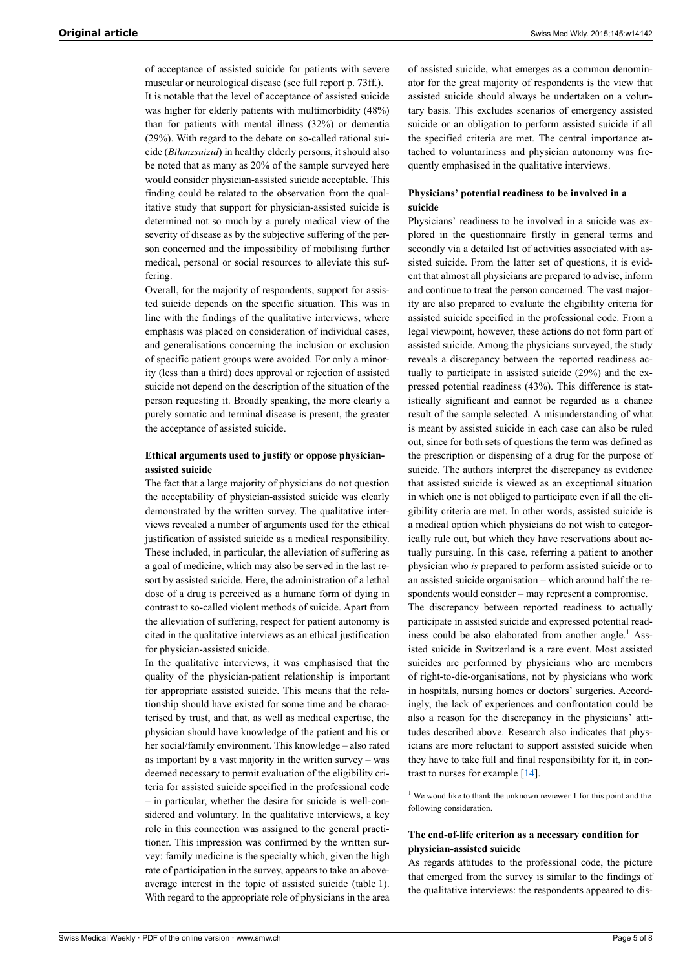of acceptance of assisted suicide for patients with severe muscular or neurological disease (see full report p. 73ff.). It is notable that the level of acceptance of assisted suicide was higher for elderly patients with multimorbidity (48%) than for patients with mental illness (32%) or dementia (29%). With regard to the debate on so-called rational suicide (*Bilanzsuizid*) in healthy elderly persons, it should also be noted that as many as 20% of the sample surveyed here would consider physician-assisted suicide acceptable. This

finding could be related to the observation from the qualitative study that support for physician-assisted suicide is determined not so much by a purely medical view of the severity of disease as by the subjective suffering of the person concerned and the impossibility of mobilising further medical, personal or social resources to alleviate this suffering.

Overall, for the majority of respondents, support for assisted suicide depends on the specific situation. This was in line with the findings of the qualitative interviews, where emphasis was placed on consideration of individual cases, and generalisations concerning the inclusion or exclusion of specific patient groups were avoided. For only a minority (less than a third) does approval or rejection of assisted suicide not depend on the description of the situation of the person requesting it. Broadly speaking, the more clearly a purely somatic and terminal disease is present, the greater the acceptance of assisted suicide.

#### **Ethical arguments used to justify or oppose physicianassisted suicide**

The fact that a large majority of physicians do not question the acceptability of physician-assisted suicide was clearly demonstrated by the written survey. The qualitative interviews revealed a number of arguments used for the ethical justification of assisted suicide as a medical responsibility. These included, in particular, the alleviation of suffering as a goal of medicine, which may also be served in the last resort by assisted suicide. Here, the administration of a lethal dose of a drug is perceived as a humane form of dying in contrast to so-called violent methods of suicide. Apart from the alleviation of suffering, respect for patient autonomy is cited in the qualitative interviews as an ethical justification for physician-assisted suicide.

In the qualitative interviews, it was emphasised that the quality of the physician-patient relationship is important for appropriate assisted suicide. This means that the relationship should have existed for some time and be characterised by trust, and that, as well as medical expertise, the physician should have knowledge of the patient and his or her social/family environment. This knowledge – also rated as important by a vast majority in the written survey – was deemed necessary to permit evaluation of the eligibility criteria for assisted suicide specified in the professional code – in particular, whether the desire for suicide is well-considered and voluntary. In the qualitative interviews, a key role in this connection was assigned to the general practitioner. This impression was confirmed by the written survey: family medicine is the specialty which, given the high rate of participation in the survey, appears to take an aboveaverage interest in the topic of assisted suicide (table 1). With regard to the appropriate role of physicians in the area

of assisted suicide, what emerges as a common denominator for the great majority of respondents is the view that assisted suicide should always be undertaken on a voluntary basis. This excludes scenarios of emergency assisted suicide or an obligation to perform assisted suicide if all the specified criteria are met. The central importance attached to voluntariness and physician autonomy was frequently emphasised in the qualitative interviews.

#### **Physicians' potential readiness to be involved in a suicide**

Physicians' readiness to be involved in a suicide was explored in the questionnaire firstly in general terms and secondly via a detailed list of activities associated with assisted suicide. From the latter set of questions, it is evident that almost all physicians are prepared to advise, inform and continue to treat the person concerned. The vast majority are also prepared to evaluate the eligibility criteria for assisted suicide specified in the professional code. From a legal viewpoint, however, these actions do not form part of assisted suicide. Among the physicians surveyed, the study reveals a discrepancy between the reported readiness actually to participate in assisted suicide (29%) and the expressed potential readiness (43%). This difference is statistically significant and cannot be regarded as a chance result of the sample selected. A misunderstanding of what is meant by assisted suicide in each case can also be ruled out, since for both sets of questions the term was defined as the prescription or dispensing of a drug for the purpose of suicide. The authors interpret the discrepancy as evidence that assisted suicide is viewed as an exceptional situation in which one is not obliged to participate even if all the eligibility criteria are met. In other words, assisted suicide is a medical option which physicians do not wish to categorically rule out, but which they have reservations about actually pursuing. In this case, referring a patient to another physician who *is* prepared to perform assisted suicide or to an assisted suicide organisation – which around half the respondents would consider – may represent a compromise. The discrepancy between reported readiness to actually participate in assisted suicide and expressed potential readiness could be also elaborated from another angle.<sup>1</sup> Assisted suicide in Switzerland is a rare event. Most assisted suicides are performed by physicians who are members of right-to-die-organisations, not by physicians who work in hospitals, nursing homes or doctors' surgeries. Accordingly, the lack of experiences and confrontation could be also a reason for the discrepancy in the physicians' attitudes described above. Research also indicates that physicians are more reluctant to support assisted suicide when they have to take full and final responsibility for it, in contrast to nurses for example [\[14](#page-6-2)].

 $1$  We woud like to thank the unknown reviewer 1 for this point and the following consideration.

#### **The end-of-life criterion as a necessary condition for physician-assisted suicide**

As regards attitudes to the professional code, the picture that emerged from the survey is similar to the findings of the qualitative interviews: the respondents appeared to dis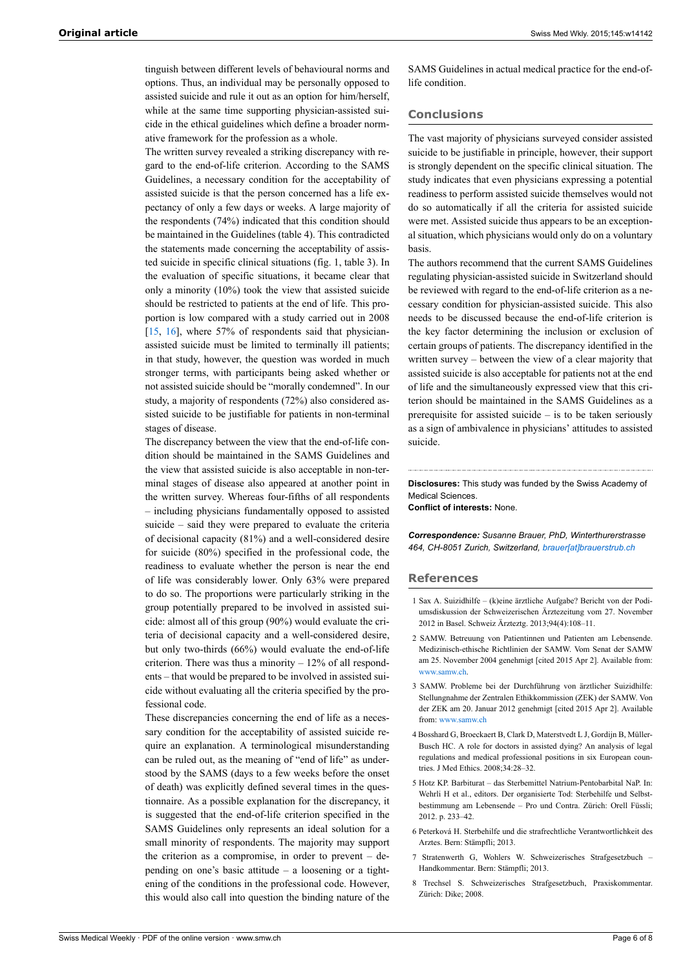tinguish between different levels of behavioural norms and options. Thus, an individual may be personally opposed to assisted suicide and rule it out as an option for him/herself, while at the same time supporting physician-assisted suicide in the ethical guidelines which define a broader normative framework for the profession as a whole.

The written survey revealed a striking discrepancy with regard to the end-of-life criterion. According to the SAMS Guidelines, a necessary condition for the acceptability of assisted suicide is that the person concerned has a life expectancy of only a few days or weeks. A large majority of the respondents (74%) indicated that this condition should be maintained in the Guidelines (table 4). This contradicted the statements made concerning the acceptability of assisted suicide in specific clinical situations (fig. 1, table 3). In the evaluation of specific situations, it became clear that only a minority (10%) took the view that assisted suicide should be restricted to patients at the end of life. This proportion is low compared with a study carried out in 2008 [\[15](#page-6-3), [16\]](#page-6-4), where 57% of respondents said that physicianassisted suicide must be limited to terminally ill patients; in that study, however, the question was worded in much stronger terms, with participants being asked whether or not assisted suicide should be "morally condemned". In our study, a majority of respondents (72%) also considered assisted suicide to be justifiable for patients in non-terminal stages of disease.

The discrepancy between the view that the end-of-life condition should be maintained in the SAMS Guidelines and the view that assisted suicide is also acceptable in non-terminal stages of disease also appeared at another point in the written survey. Whereas four-fifths of all respondents – including physicians fundamentally opposed to assisted suicide – said they were prepared to evaluate the criteria of decisional capacity (81%) and a well-considered desire for suicide (80%) specified in the professional code, the readiness to evaluate whether the person is near the end of life was considerably lower. Only 63% were prepared to do so. The proportions were particularly striking in the group potentially prepared to be involved in assisted suicide: almost all of this group (90%) would evaluate the criteria of decisional capacity and a well-considered desire, but only two-thirds (66%) would evaluate the end-of-life criterion. There was thus a minority  $-12\%$  of all respondents – that would be prepared to be involved in assisted suicide without evaluating all the criteria specified by the professional code.

<span id="page-5-6"></span><span id="page-5-5"></span><span id="page-5-4"></span><span id="page-5-3"></span><span id="page-5-2"></span><span id="page-5-1"></span><span id="page-5-0"></span>These discrepancies concerning the end of life as a necessary condition for the acceptability of assisted suicide require an explanation. A terminological misunderstanding can be ruled out, as the meaning of "end of life" as understood by the SAMS (days to a few weeks before the onset of death) was explicitly defined several times in the questionnaire. As a possible explanation for the discrepancy, it is suggested that the end-of-life criterion specified in the SAMS Guidelines only represents an ideal solution for a small minority of respondents. The majority may support the criterion as a compromise, in order to prevent – depending on one's basic attitude – a loosening or a tightening of the conditions in the professional code. However, this would also call into question the binding nature of the

SAMS Guidelines in actual medical practice for the end-oflife condition.

#### **Conclusions**

The vast majority of physicians surveyed consider assisted suicide to be justifiable in principle, however, their support is strongly dependent on the specific clinical situation. The study indicates that even physicians expressing a potential readiness to perform assisted suicide themselves would not do so automatically if all the criteria for assisted suicide were met. Assisted suicide thus appears to be an exceptional situation, which physicians would only do on a voluntary basis.

The authors recommend that the current SAMS Guidelines regulating physician-assisted suicide in Switzerland should be reviewed with regard to the end-of-life criterion as a necessary condition for physician-assisted suicide. This also needs to be discussed because the end-of-life criterion is the key factor determining the inclusion or exclusion of certain groups of patients. The discrepancy identified in the written survey – between the view of a clear majority that assisted suicide is also acceptable for patients not at the end of life and the simultaneously expressed view that this criterion should be maintained in the SAMS Guidelines as a prerequisite for assisted suicide – is to be taken seriously as a sign of ambivalence in physicians' attitudes to assisted suicide.

**Disclosures:** This study was funded by the Swiss Academy of Medical Sciences.

**Conflict of interests:** None.

*Correspondence: Susanne Brauer, PhD, Winterthurerstrasse 464, CH-8051 Zurich, Switzerland, [brauer\[at\]brauerstrub.ch](mailto:brauer@brauerstrub.ch )*

#### **References**

- 1 Sax A. Suizidhilfe (k)eine ärztliche Aufgabe? Bericht von der Podiumsdiskussion der Schweizerischen Ärztezeitung vom 27. November 2012 in Basel. Schweiz Ärzteztg. 2013;94(4):108–11.
- 2 SAMW. Betreuung von Patientinnen und Patienten am Lebensende. Medizinisch-ethische Richtlinien der SAMW. Vom Senat der SAMW am 25. November 2004 genehmigt [cited 2015 Apr 2]. Available from: [www.samw.ch](http://www.samw.ch).
- 3 SAMW. Probleme bei der Durchführung von ärztlicher Suizidhilfe: Stellungnahme der Zentralen Ethikkommission (ZEK) der SAMW. Von der ZEK am 20. Januar 2012 genehmigt [cited 2015 Apr 2]. Available from: [www.samw.ch](http://www.samw.ch)
- 4 Bosshard G, Broeckaert B, Clark D, Materstvedt L J, Gordijn B, Müller-Busch HC. A role for doctors in assisted dying? An analysis of legal regulations and medical professional positions in six European countries. J Med Ethics. 2008;34:28–32.
- 5 Hotz KP. Barbiturat das Sterbemittel Natrium-Pentobarbital NaP. In: Wehrli H et al., editors. Der organisierte Tod: Sterbehilfe und Selbstbestimmung am Lebensende – Pro und Contra. Zürich: Orell Füssli; 2012. p. 233–42.
- 6 Peterková H. Sterbehilfe und die strafrechtliche Verantwortlichkeit des Arztes. Bern: Stämpfli; 2013.
- 7 Stratenwerth G, Wohlers W. Schweizerisches Strafgesetzbuch Handkommentar. Bern: Stämpfli; 2013.
- 8 Trechsel S. Schweizerisches Strafgesetzbuch, Praxiskommentar. Zürich: Dike; 2008.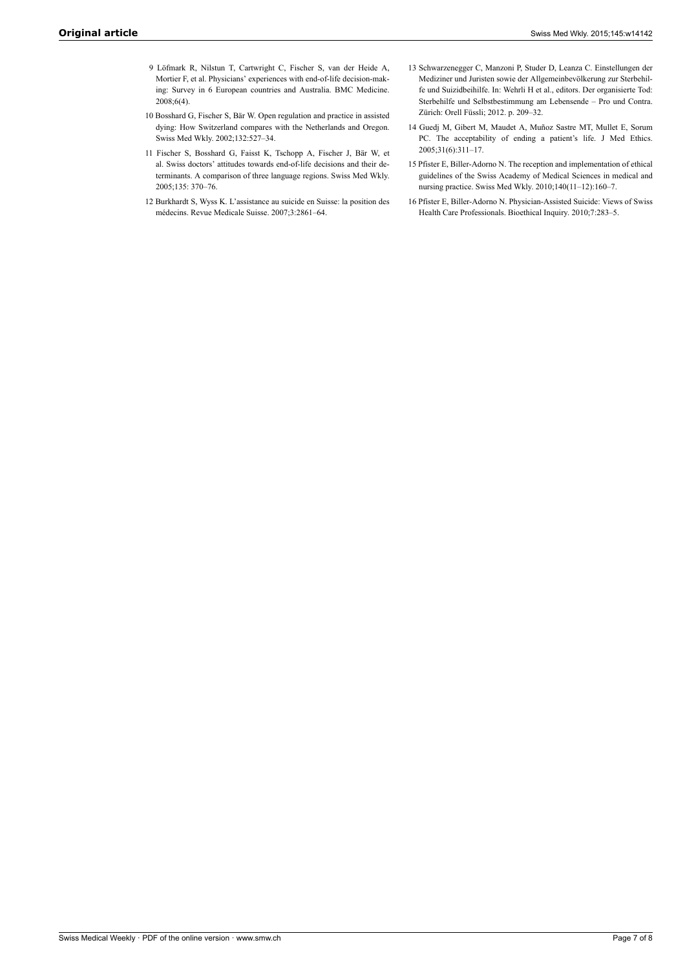- <span id="page-6-0"></span>9 Löfmark R, Nilstun T, Cartwright C, Fischer S, van der Heide A, Mortier F, et al. Physicians' experiences with end-of-life decision-making: Survey in 6 European countries and Australia. BMC Medicine. 2008;6(4).
- <span id="page-6-2"></span><span id="page-6-1"></span>10 Bosshard G, Fischer S, Bär W. Open regulation and practice in assisted dying: How Switzerland compares with the Netherlands and Oregon. Swiss Med Wkly. 2002;132:527–34.
- <span id="page-6-3"></span>11 Fischer S, Bosshard G, Faisst K, Tschopp A, Fischer J, Bär W, et al. Swiss doctors' attitudes towards end-of-life decisions and their determinants. A comparison of three language regions. Swiss Med Wkly. 2005;135: 370–76.
- <span id="page-6-4"></span>12 Burkhardt S, Wyss K. L'assistance au suicide en Suisse: la position des médecins. Revue Medicale Suisse. 2007;3:2861–64.
- 13 Schwarzenegger C, Manzoni P, Studer D, Leanza C. Einstellungen der Mediziner und Juristen sowie der Allgemeinbevölkerung zur Sterbehilfe und Suizidbeihilfe. In: Wehrli H et al., editors. Der organisierte Tod: Sterbehilfe und Selbstbestimmung am Lebensende – Pro und Contra. Zürich: Orell Füssli; 2012. p. 209–32.
- 14 Guedj M, Gibert M, Maudet A, Muñoz Sastre MT, Mullet E, Sorum PC. The acceptability of ending a patient's life. J Med Ethics. 2005;31(6):311–17.
- 15 Pfister E, Biller-Adorno N. The reception and implementation of ethical guidelines of the Swiss Academy of Medical Sciences in medical and nursing practice. Swiss Med Wkly. 2010;140(11–12):160–7.
- 16 Pfister E, Biller-Adorno N. Physician-Assisted Suicide: Views of Swiss Health Care Professionals. Bioethical Inquiry. 2010;7:283–5.